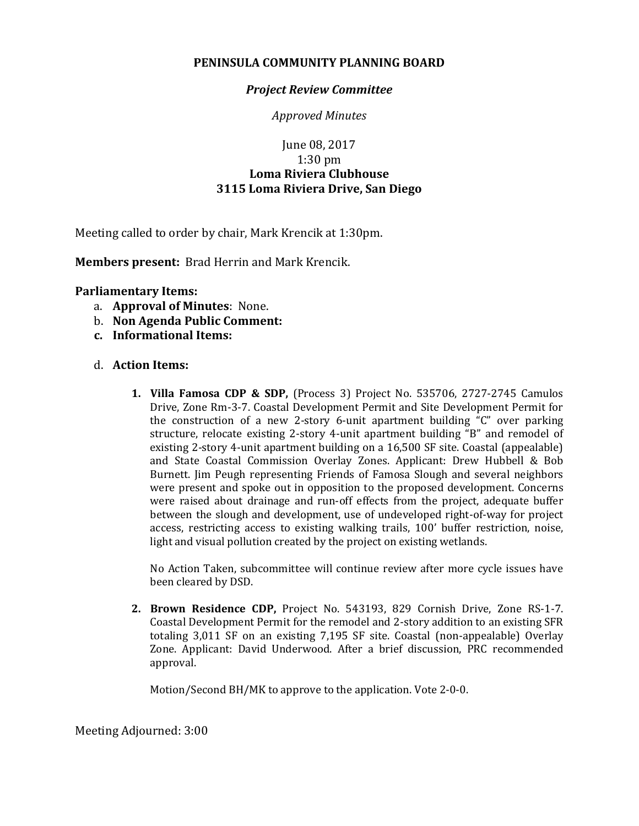## **PENINSULA COMMUNITY PLANNING BOARD**

## *Project Review Committee*

*Approved Minutes*

## June 08, 2017 1:30 pm **Loma Riviera Clubhouse 3115 Loma Riviera Drive, San Diego**

Meeting called to order by chair, Mark Krencik at 1:30pm.

**Members present:** Brad Herrin and Mark Krencik.

## **Parliamentary Items:**

- a. **Approval of Minutes**: None.
- b. **Non Agenda Public Comment:**
- **c. Informational Items:**
- d. **Action Items:**
	- **1. Villa Famosa CDP & SDP,** (Process 3) Project No. 535706, 2727-2745 Camulos Drive, Zone Rm-3-7. Coastal Development Permit and Site Development Permit for the construction of a new 2-story 6-unit apartment building "C" over parking structure, relocate existing 2-story 4-unit apartment building "B" and remodel of existing 2-story 4-unit apartment building on a 16,500 SF site. Coastal (appealable) and State Coastal Commission Overlay Zones. Applicant: Drew Hubbell & Bob Burnett. Jim Peugh representing Friends of Famosa Slough and several neighbors were present and spoke out in opposition to the proposed development. Concerns were raised about drainage and run-off effects from the project, adequate buffer between the slough and development, use of undeveloped right-of-way for project access, restricting access to existing walking trails, 100' buffer restriction, noise, light and visual pollution created by the project on existing wetlands.

No Action Taken, subcommittee will continue review after more cycle issues have been cleared by DSD.

**2. Brown Residence CDP,** Project No. 543193, 829 Cornish Drive, Zone RS-1-7. Coastal Development Permit for the remodel and 2-story addition to an existing SFR totaling 3,011 SF on an existing 7,195 SF site. Coastal (non-appealable) Overlay Zone. Applicant: David Underwood. After a brief discussion, PRC recommended approval.

Motion/Second BH/MK to approve to the application. Vote 2-0-0.

Meeting Adjourned: 3:00